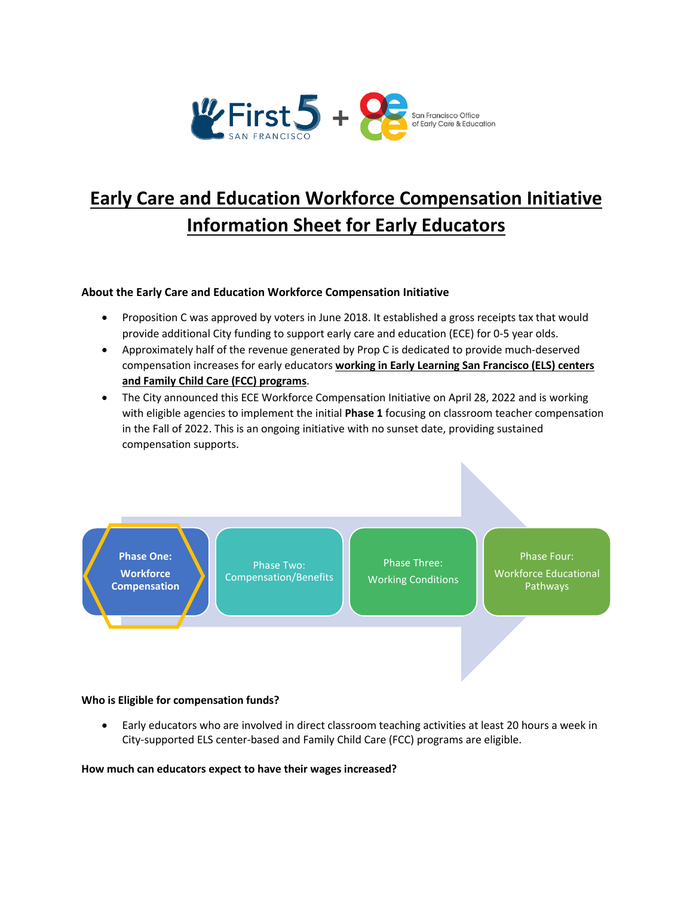

# **Early Care and Education Workforce Compensation Initiative Information Sheet for Early Educators**

## **About the Early Care and Education Workforce Compensation Initiative**

- Proposition C was approved by voters in June 2018. It established a gross receipts tax that would provide additional City funding to support early care and education (ECE) for 0-5 year olds.
- Approximately half of the revenue generated by Prop C is dedicated to provide much-deserved compensation increases for early educators **working in Early Learning San Francisco (ELS) centers and Family Child Care (FCC) programs**.
- The City announced this ECE Workforce Compensation Initiative on April 28, 2022 and is working with eligible agencies to implement the initial **Phase 1** focusing on classroom teacher compensation in the Fall of 2022. This is an ongoing initiative with no sunset date, providing sustained compensation supports.



Phase Two: Compensation/Benefits

Phase Three: Working Conditions Phase Four:

Workforce Educational Pathways

## **Who is Eligible for compensation funds?**

• Early educators who are involved in direct classroom teaching activities at least 20 hours a week in City-supported ELS center-based and Family Child Care (FCC) programs are eligible.

## **How much can educators expect to have their wages increased?**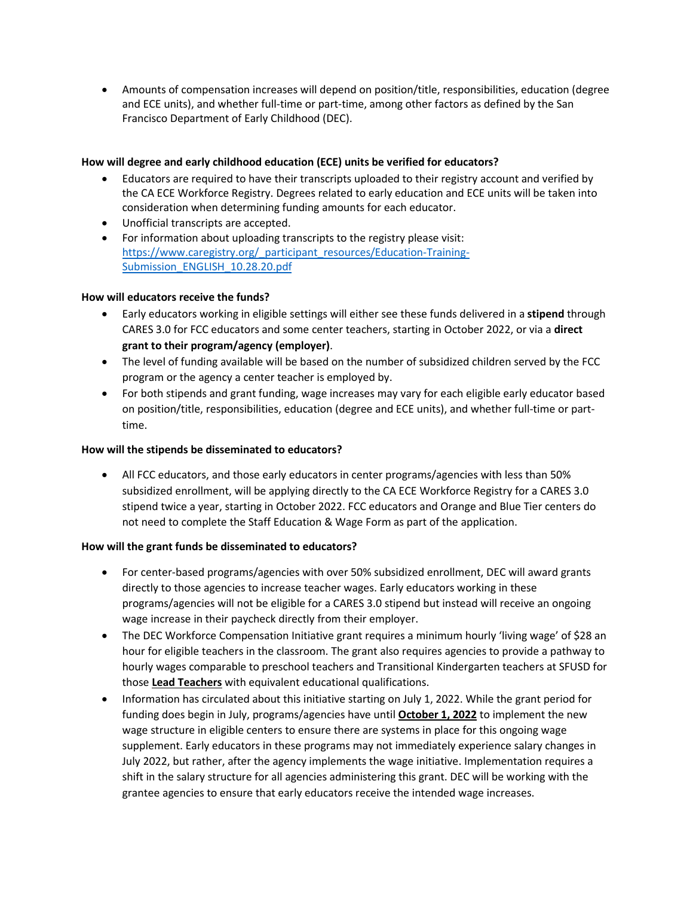• Amounts of compensation increases will depend on position/title, responsibilities, education (degree and ECE units), and whether full-time or part-time, among other factors as defined by the San Francisco Department of Early Childhood (DEC).

## **How will degree and early childhood education (ECE) units be verified for educators?**

- Educators are required to have their transcripts uploaded to their registry account and verified by the CA ECE Workforce Registry. Degrees related to early education and ECE units will be taken into consideration when determining funding amounts for each educator.
- Unofficial transcripts are accepted.
- For information about uploading transcripts to the registry please visit: [https://www.caregistry.org/\\_participant\\_resources/Education-Training-](https://www.caregistry.org/_participant_resources/Education-Training-Submission_ENGLISH_10.28.20.pdf)[Submission\\_ENGLISH\\_10.28.20.pdf](https://www.caregistry.org/_participant_resources/Education-Training-Submission_ENGLISH_10.28.20.pdf)

## **How will educators receive the funds?**

- Early educators working in eligible settings will either see these funds delivered in a **stipend** through CARES 3.0 for FCC educators and some center teachers, starting in October 2022, or via a **direct grant to their program/agency (employer)**.
- The level of funding available will be based on the number of subsidized children served by the FCC program or the agency a center teacher is employed by.
- For both stipends and grant funding, wage increases may vary for each eligible early educator based on position/title, responsibilities, education (degree and ECE units), and whether full-time or parttime.

## **How will the stipends be disseminated to educators?**

• All FCC educators, and those early educators in center programs/agencies with less than 50% subsidized enrollment, will be applying directly to the CA ECE Workforce Registry for a CARES 3.0 stipend twice a year, starting in October 2022. FCC educators and Orange and Blue Tier centers do not need to complete the Staff Education & Wage Form as part of the application.

## **How will the grant funds be disseminated to educators?**

- For center-based programs/agencies with over 50% subsidized enrollment, DEC will award grants directly to those agencies to increase teacher wages. Early educators working in these programs/agencies will not be eligible for a CARES 3.0 stipend but instead will receive an ongoing wage increase in their paycheck directly from their employer.
- The DEC Workforce Compensation Initiative grant requires a minimum hourly 'living wage' of \$28 an hour for eligible teachers in the classroom. The grant also requires agencies to provide a pathway to hourly wages comparable to preschool teachers and Transitional Kindergarten teachers at SFUSD for those **Lead Teachers** with equivalent educational qualifications.
- Information has circulated about this initiative starting on July 1, 2022. While the grant period for funding does begin in July, programs/agencies have until **October 1, 2022** to implement the new wage structure in eligible centers to ensure there are systems in place for this ongoing wage supplement. Early educators in these programs may not immediately experience salary changes in July 2022, but rather, after the agency implements the wage initiative. Implementation requires a shift in the salary structure for all agencies administering this grant. DEC will be working with the grantee agencies to ensure that early educators receive the intended wage increases.